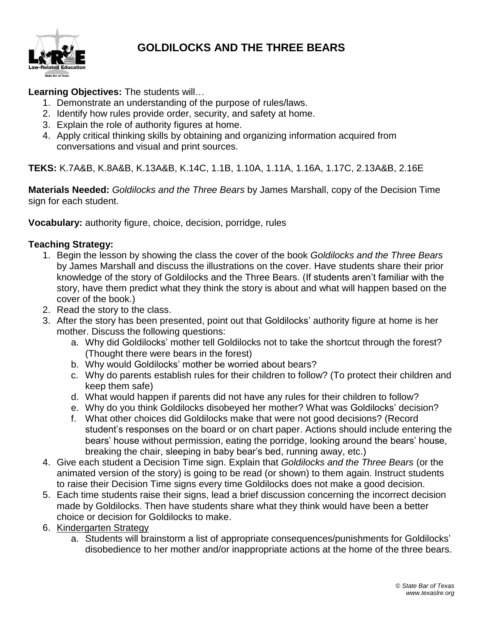

## **GOLDILOCKS AND THE THREE BEARS**

## **Learning Objectives:** The students will…

- 1. Demonstrate an understanding of the purpose of rules/laws.
- 2. Identify how rules provide order, security, and safety at home.
- 3. Explain the role of authority figures at home.
- 4. Apply critical thinking skills by obtaining and organizing information acquired from conversations and visual and print sources.

**TEKS:** K.7A&B, K.8A&B, K.13A&B, K.14C, 1.1B, 1.10A, 1.11A, 1.16A, 1.17C, 2.13A&B, 2.16E

**Materials Needed:** *Goldilocks and the Three Bears* by James Marshall, copy of the Decision Time sign for each student.

**Vocabulary:** authority figure, choice, decision, porridge, rules

## **Teaching Strategy:**

- 1. Begin the lesson by showing the class the cover of the book *Goldilocks and the Three Bears* by James Marshall and discuss the illustrations on the cover. Have students share their prior knowledge of the story of Goldilocks and the Three Bears. (If students aren't familiar with the story, have them predict what they think the story is about and what will happen based on the cover of the book.)
- 2. Read the story to the class.
- 3. After the story has been presented, point out that Goldilocks' authority figure at home is her mother. Discuss the following questions:
	- a. Why did Goldilocks' mother tell Goldilocks not to take the shortcut through the forest? (Thought there were bears in the forest)
	- b. Why would Goldilocks' mother be worried about bears?
	- c. Why do parents establish rules for their children to follow? (To protect their children and keep them safe)
	- d. What would happen if parents did not have any rules for their children to follow?
	- e. Why do you think Goldilocks disobeyed her mother? What was Goldilocks' decision?
	- f. What other choices did Goldilocks make that were not good decisions? (Record student's responses on the board or on chart paper. Actions should include entering the bears' house without permission, eating the porridge, looking around the bears' house, breaking the chair, sleeping in baby bear's bed, running away, etc.)
- 4. Give each student a Decision Time sign. Explain that *Goldilocks and the Three Bears* (or the animated version of the story) is going to be read (or shown) to them again. Instruct students to raise their Decision Time signs every time Goldilocks does not make a good decision.
- 5. Each time students raise their signs, lead a brief discussion concerning the incorrect decision made by Goldilocks. Then have students share what they think would have been a better choice or decision for Goldilocks to make.
- 6. Kindergarten Strategy
	- a. Students will brainstorm a list of appropriate consequences/punishments for Goldilocks' disobedience to her mother and/or inappropriate actions at the home of the three bears.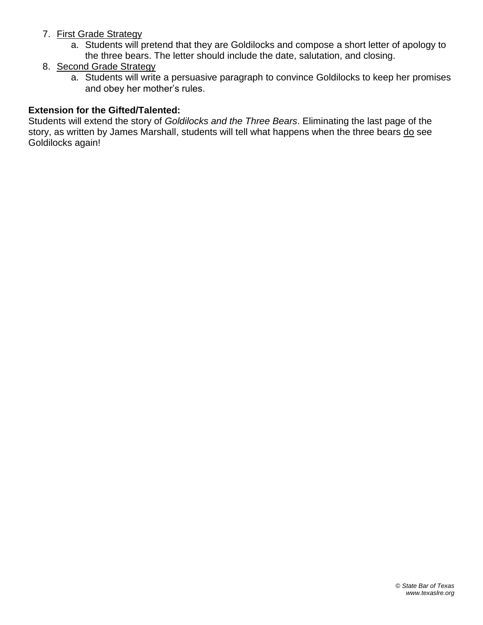- 7. First Grade Strategy
	- a. Students will pretend that they are Goldilocks and compose a short letter of apology to the three bears. The letter should include the date, salutation, and closing.
- 8. Second Grade Strategy
	- a. Students will write a persuasive paragraph to convince Goldilocks to keep her promises and obey her mother's rules.

## **Extension for the Gifted/Talented:**

Students will extend the story of *Goldilocks and the Three Bears*. Eliminating the last page of the story, as written by James Marshall, students will tell what happens when the three bears do see Goldilocks again!